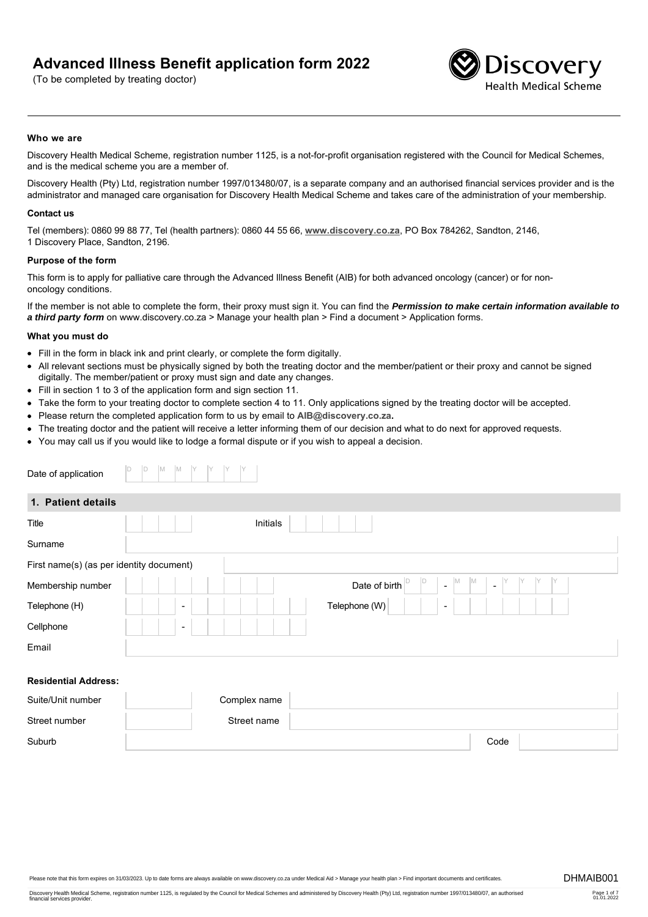# **Advanced Illness Benefit application form 2022**

(To be completed by treating doctor)



#### **Who we are**

Discovery Health Medical Scheme, registration number 1125, is a not-for-profit organisation registered with the Council for Medical Schemes, and is the medical scheme you are a member of.

Discovery Health (Pty) Ltd, registration number 1997/013480/07, is a separate company and an authorised financial services provider and is the administrator and managed care organisation for Discovery Health Medical Scheme and takes care of the administration of your membership.

#### **Contact us**

Tel (members): 0860 99 88 77, Tel (health partners): 0860 44 55 66, **[www.discovery.co.za](http://www.discovery.co.za)**, PO Box 784262, Sandton, 2146, 1 Discovery Place, Sandton, 2196.

#### **Purpose of the form**

This form is to apply for palliative care through the Advanced Illness Benefit (AIB) for both advanced oncology (cancer) or for nononcology conditions.

If the member is not able to complete the form, their proxy must sign it. You can find the *Permission to make certain information available to a third party form* on www.discovery.co.za > Manage your health plan > Find a document > Application forms.

#### **What you must do**

- Fill in the form in black ink and print clearly, or complete the form digitally.
- All relevant sections must be physically signed by both the treating doctor and the member/patient or their proxy and cannot be signed digitally. The member/patient or proxy must sign and date any changes.
- Fill in section 1 to 3 of the application form and sign section 11.
- Take the form to your treating doctor to complete section 4 to 11. Only applications signed by the treating doctor will be accepted.
- Please return the completed application form to us by email to **[AIB@discovery.co.za](mailto:AIB@discovery.co.za).**
- The treating doctor and the patient will receive a letter informing them of our decision and what to do next for approved requests.
- You may call us if you would like to lodge a formal dispute or if you wish to appeal a decision.

| Date of application                      | D<br>D<br>M<br>M                                                             |
|------------------------------------------|------------------------------------------------------------------------------|
| 1. Patient details                       |                                                                              |
| Title                                    | Initials                                                                     |
| Surname                                  |                                                                              |
| First name(s) (as per identity document) |                                                                              |
| Membership number                        | ID<br>M<br>ID<br>$\mathbb{M}$<br>Date of birth<br>$\omega$<br>$\overline{a}$ |
| Telephone (H)                            | Telephone (W)<br>$\overline{\phantom{a}}$<br>$\blacksquare$                  |
| Cellphone                                | $\overline{\phantom{a}}$                                                     |
| Email                                    |                                                                              |
|                                          |                                                                              |
| <b>Residential Address:</b>              |                                                                              |
| Suite/Unit number                        | Complex name                                                                 |
| Street number                            | Street name                                                                  |
| Suburb                                   | Code                                                                         |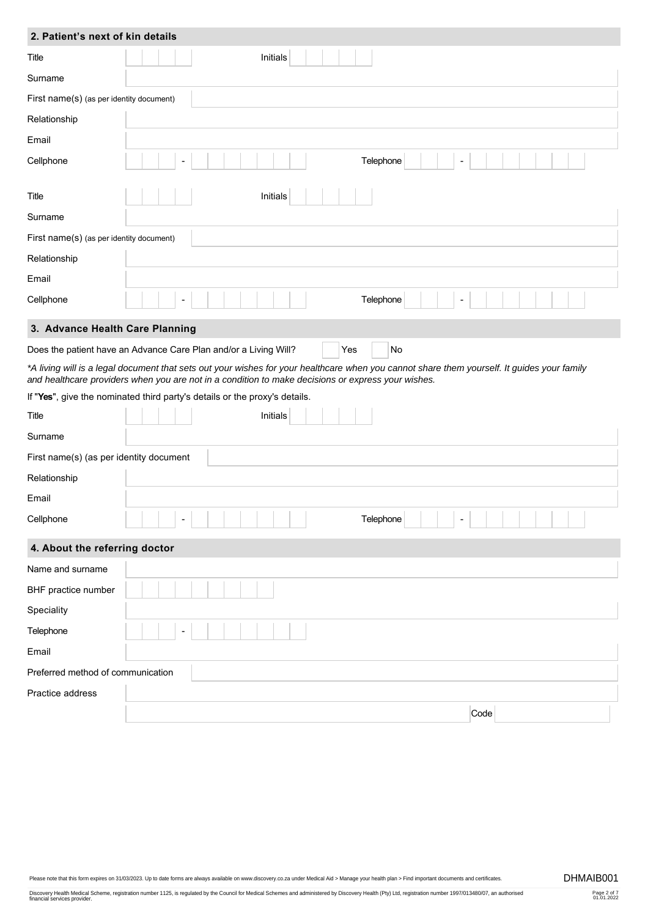| 2. Patient's next of kin details         |                                                                                                                                                                                                                                                   |  |  |
|------------------------------------------|---------------------------------------------------------------------------------------------------------------------------------------------------------------------------------------------------------------------------------------------------|--|--|
| Title                                    | Initials                                                                                                                                                                                                                                          |  |  |
| Surname                                  |                                                                                                                                                                                                                                                   |  |  |
| First name(s) (as per identity document) |                                                                                                                                                                                                                                                   |  |  |
| Relationship                             |                                                                                                                                                                                                                                                   |  |  |
| Email                                    |                                                                                                                                                                                                                                                   |  |  |
| Cellphone                                | Telephone                                                                                                                                                                                                                                         |  |  |
| Title                                    | Initials                                                                                                                                                                                                                                          |  |  |
| Surname                                  |                                                                                                                                                                                                                                                   |  |  |
| First name(s) (as per identity document) |                                                                                                                                                                                                                                                   |  |  |
| Relationship                             |                                                                                                                                                                                                                                                   |  |  |
| Email                                    |                                                                                                                                                                                                                                                   |  |  |
| Cellphone                                | Telephone                                                                                                                                                                                                                                         |  |  |
| 3. Advance Health Care Planning          |                                                                                                                                                                                                                                                   |  |  |
|                                          | Does the patient have an Advance Care Plan and/or a Living Will?<br>No<br>Yes                                                                                                                                                                     |  |  |
|                                          | *A living will is a legal document that sets out your wishes for your healthcare when you cannot share them yourself. It guides your family<br>and healthcare providers when you are not in a condition to make decisions or express your wishes. |  |  |
|                                          | If "Yes", give the nominated third party's details or the proxy's details.                                                                                                                                                                        |  |  |
| Title                                    | Initials                                                                                                                                                                                                                                          |  |  |
| Surname                                  |                                                                                                                                                                                                                                                   |  |  |
| First name(s) (as per identity document  |                                                                                                                                                                                                                                                   |  |  |
| Relationship                             |                                                                                                                                                                                                                                                   |  |  |
| Email                                    |                                                                                                                                                                                                                                                   |  |  |
| Cellphone                                | Telephone                                                                                                                                                                                                                                         |  |  |
| 4. About the referring doctor            |                                                                                                                                                                                                                                                   |  |  |
| Name and surname                         |                                                                                                                                                                                                                                                   |  |  |
| BHF practice number                      |                                                                                                                                                                                                                                                   |  |  |
| Speciality                               |                                                                                                                                                                                                                                                   |  |  |
| Telephone                                |                                                                                                                                                                                                                                                   |  |  |
| Email                                    |                                                                                                                                                                                                                                                   |  |  |
| Preferred method of communication        |                                                                                                                                                                                                                                                   |  |  |
| Practice address                         |                                                                                                                                                                                                                                                   |  |  |
|                                          | Code                                                                                                                                                                                                                                              |  |  |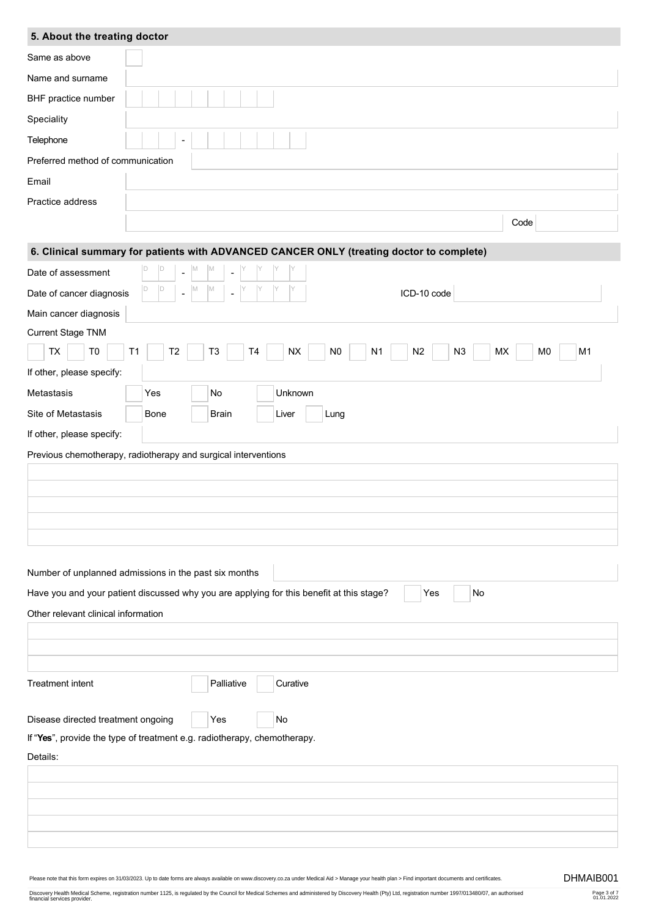# **5. About the treating doctor**

| Same as above                                                            |                                                                                                                                                     |  |  |  |
|--------------------------------------------------------------------------|-----------------------------------------------------------------------------------------------------------------------------------------------------|--|--|--|
| Name and surname                                                         |                                                                                                                                                     |  |  |  |
| BHF practice number                                                      |                                                                                                                                                     |  |  |  |
|                                                                          |                                                                                                                                                     |  |  |  |
| Speciality                                                               |                                                                                                                                                     |  |  |  |
| Telephone                                                                | $\overline{\phantom{a}}$                                                                                                                            |  |  |  |
| Preferred method of communication                                        |                                                                                                                                                     |  |  |  |
| Email                                                                    |                                                                                                                                                     |  |  |  |
| Practice address                                                         |                                                                                                                                                     |  |  |  |
|                                                                          | Code                                                                                                                                                |  |  |  |
|                                                                          | 6. Clinical summary for patients with ADVANCED CANCER ONLY (treating doctor to complete)                                                            |  |  |  |
| Date of assessment                                                       | ID<br>M<br>M                                                                                                                                        |  |  |  |
| Date of cancer diagnosis                                                 | M<br>D<br>M<br>ICD-10 code<br>$\blacksquare$                                                                                                        |  |  |  |
| Main cancer diagnosis                                                    |                                                                                                                                                     |  |  |  |
| Current Stage TNM                                                        |                                                                                                                                                     |  |  |  |
| TX<br>T <sub>0</sub>                                                     | <b>NX</b><br>N <sub>0</sub><br>N2<br>MX<br>M <sub>0</sub><br>M1<br>T1<br>T <sub>2</sub><br>T <sub>3</sub><br>T <sub>4</sub><br>N <sub>1</sub><br>N3 |  |  |  |
| If other, please specify:                                                |                                                                                                                                                     |  |  |  |
| Metastasis                                                               | Unknown<br><b>No</b><br>Yes                                                                                                                         |  |  |  |
| Site of Metastasis                                                       | <b>Bone</b><br><b>Brain</b><br>Liver<br>Lung                                                                                                        |  |  |  |
| If other, please specify:                                                |                                                                                                                                                     |  |  |  |
|                                                                          |                                                                                                                                                     |  |  |  |
|                                                                          | Previous chemotherapy, radiotherapy and surgical interventions                                                                                      |  |  |  |
|                                                                          |                                                                                                                                                     |  |  |  |
|                                                                          |                                                                                                                                                     |  |  |  |
|                                                                          |                                                                                                                                                     |  |  |  |
|                                                                          |                                                                                                                                                     |  |  |  |
|                                                                          |                                                                                                                                                     |  |  |  |
|                                                                          | Number of unplanned admissions in the past six months                                                                                               |  |  |  |
|                                                                          | Have you and your patient discussed why you are applying for this benefit at this stage?<br>Yes<br>No                                               |  |  |  |
| Other relevant clinical information                                      |                                                                                                                                                     |  |  |  |
|                                                                          |                                                                                                                                                     |  |  |  |
|                                                                          |                                                                                                                                                     |  |  |  |
| <b>Treatment intent</b>                                                  | Palliative<br>Curative                                                                                                                              |  |  |  |
|                                                                          |                                                                                                                                                     |  |  |  |
| Disease directed treatment ongoing<br>Yes<br>No                          |                                                                                                                                                     |  |  |  |
| If "Yes", provide the type of treatment e.g. radiotherapy, chemotherapy. |                                                                                                                                                     |  |  |  |
| Details:                                                                 |                                                                                                                                                     |  |  |  |
|                                                                          |                                                                                                                                                     |  |  |  |
|                                                                          |                                                                                                                                                     |  |  |  |
|                                                                          |                                                                                                                                                     |  |  |  |
|                                                                          |                                                                                                                                                     |  |  |  |
|                                                                          |                                                                                                                                                     |  |  |  |

Page 3 of 7 01.01.2022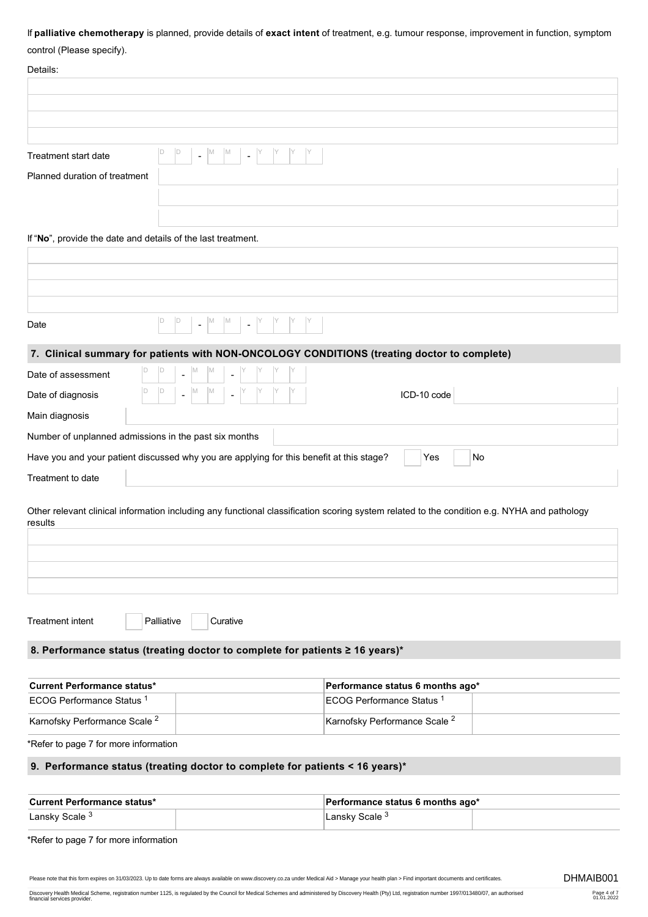### If **palliative chemotherapy** is planned, provide details of **exact intent** of treatment, e.g. tumour response, improvement in function, symptom

# control (Please specify).

| comport in load opposity.                                                                |                                                                       |                                                                                                                                             |    |
|------------------------------------------------------------------------------------------|-----------------------------------------------------------------------|---------------------------------------------------------------------------------------------------------------------------------------------|----|
| Details:                                                                                 |                                                                       |                                                                                                                                             |    |
|                                                                                          |                                                                       |                                                                                                                                             |    |
|                                                                                          |                                                                       |                                                                                                                                             |    |
|                                                                                          |                                                                       |                                                                                                                                             |    |
| <b>Treatment start date</b>                                                              | 1D<br>M<br>$\mathbb{M}$<br>$\blacksquare$<br>$\overline{\phantom{a}}$ |                                                                                                                                             |    |
| Planned duration of treatment                                                            |                                                                       |                                                                                                                                             |    |
|                                                                                          |                                                                       |                                                                                                                                             |    |
|                                                                                          |                                                                       |                                                                                                                                             |    |
| If "No", provide the date and details of the last treatment.                             |                                                                       |                                                                                                                                             |    |
|                                                                                          |                                                                       |                                                                                                                                             |    |
|                                                                                          |                                                                       |                                                                                                                                             |    |
|                                                                                          |                                                                       |                                                                                                                                             |    |
|                                                                                          |                                                                       |                                                                                                                                             |    |
| D<br>Date                                                                                | $\mathbb{D}$<br>M<br>$\mathbb{M}$<br>$\blacksquare$<br>$\blacksquare$ |                                                                                                                                             |    |
|                                                                                          |                                                                       | 7. Clinical summary for patients with NON-ONCOLOGY CONDITIONS (treating doctor to complete)                                                 |    |
| Date of assessment                                                                       |                                                                       |                                                                                                                                             |    |
| Date of diagnosis                                                                        |                                                                       | ICD-10 code                                                                                                                                 |    |
| Main diagnosis                                                                           |                                                                       |                                                                                                                                             |    |
| Number of unplanned admissions in the past six months                                    |                                                                       |                                                                                                                                             |    |
| Have you and your patient discussed why you are applying for this benefit at this stage? |                                                                       | Yes                                                                                                                                         | No |
| Treatment to date                                                                        |                                                                       |                                                                                                                                             |    |
|                                                                                          |                                                                       |                                                                                                                                             |    |
| results                                                                                  |                                                                       | Other relevant clinical information including any functional classification scoring system related to the condition e.g. NYHA and pathology |    |
|                                                                                          |                                                                       |                                                                                                                                             |    |
|                                                                                          |                                                                       |                                                                                                                                             |    |
|                                                                                          |                                                                       |                                                                                                                                             |    |
|                                                                                          |                                                                       |                                                                                                                                             |    |
|                                                                                          |                                                                       |                                                                                                                                             |    |
| <b>Treatment intent</b><br>Palliative                                                    | Curative                                                              |                                                                                                                                             |    |
| 8. Performance status (treating doctor to complete for patients ≥ 16 years)*             |                                                                       |                                                                                                                                             |    |
|                                                                                          |                                                                       |                                                                                                                                             |    |
| <b>Current Performance status*</b>                                                       |                                                                       | Performance status 6 months ago*                                                                                                            |    |
| ECOG Performance Status <sup>1</sup>                                                     |                                                                       | ECOG Performance Status <sup>1</sup>                                                                                                        |    |
| Karnofsky Performance Scale <sup>2</sup>                                                 |                                                                       | Karnofsky Performance Scale <sup>2</sup>                                                                                                    |    |

\*Refer to page 7 for more information

# **9. Performance status (treating doctor to complete for patients < 16 years)\***

| <b>Current Performance status*</b> |  | Performance status 6 months ago* |  |
|------------------------------------|--|----------------------------------|--|
| Lansky Scale <sup>3</sup>          |  | ⊥ansky Scale <sup>3</sup>        |  |

\*Refer to page 7 for more information

Please note that this form expires on 31/03/2023. Up to date forms are always available on www.discovery.co.za under Medical Aid > Manage your health plan > Find important documents and certificates. DHMAIB001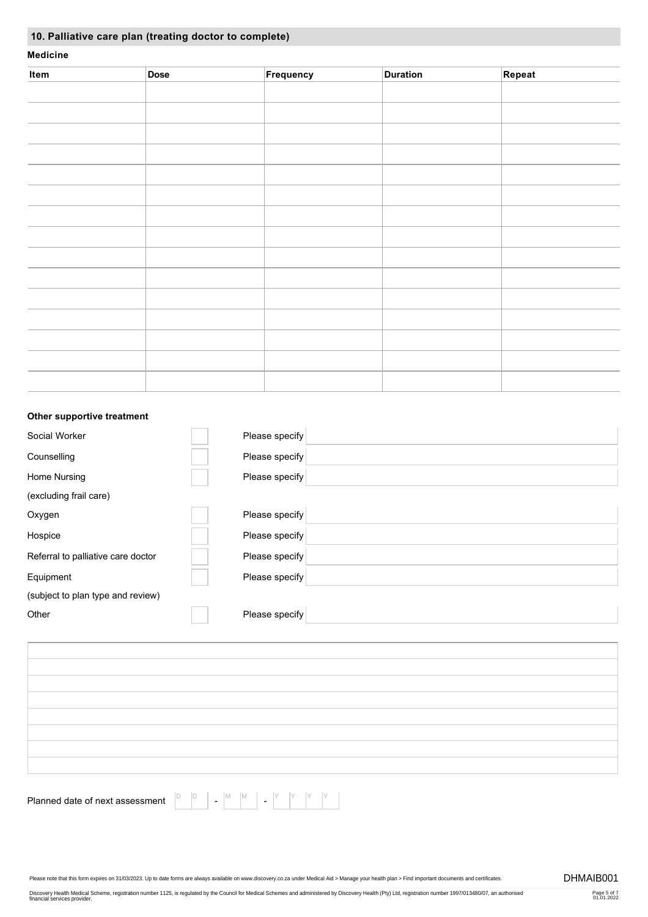# **10. Palliative care plan (treating doctor to complete)**

### **Medicine**

| Item | Dose | Frequency | <b>Duration</b> | Repeat |
|------|------|-----------|-----------------|--------|
|      |      |           |                 |        |
|      |      |           |                 |        |
|      |      |           |                 |        |
|      |      |           |                 |        |
|      |      |           |                 |        |
|      |      |           |                 |        |
|      |      |           |                 |        |
|      |      |           |                 |        |
|      |      |           |                 |        |
|      |      |           |                 |        |
|      |      |           |                 |        |
|      |      |           |                 |        |
|      |      |           |                 |        |
|      |      |           |                 |        |
|      |      |           |                 |        |

### **Other supportive treatment**

| Social Worker                      | Please specify |  |
|------------------------------------|----------------|--|
| Counselling                        | Please specify |  |
| Home Nursing                       | Please specify |  |
| (excluding frail care)             |                |  |
| Oxygen                             | Please specify |  |
| Hospice                            | Please specify |  |
| Referral to palliative care doctor | Please specify |  |
| Equipment                          | Please specify |  |
| (subject to plan type and review)  |                |  |
| Other                              | Please specify |  |

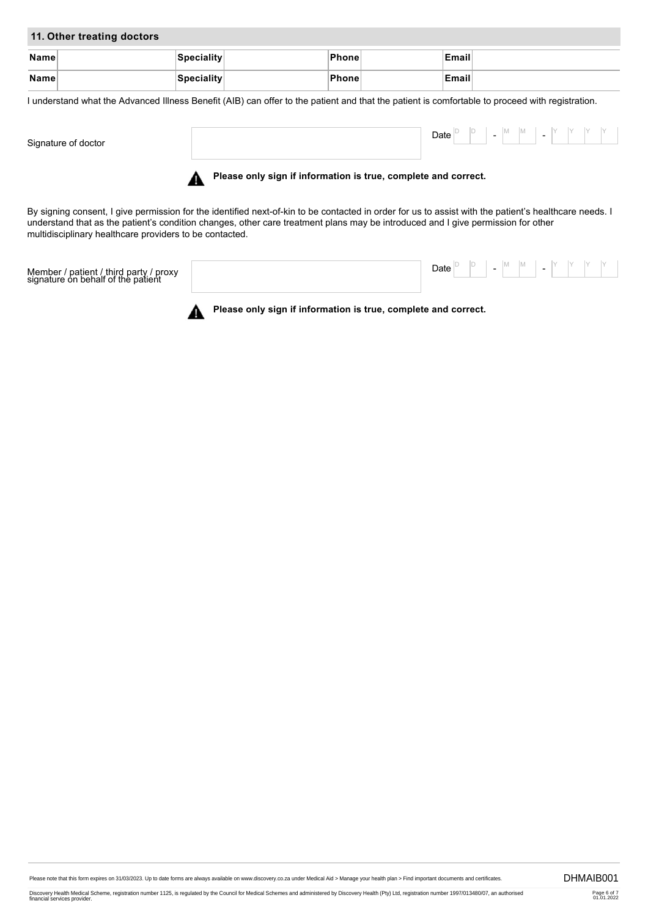### **11. Other treating doctors**

| Name | <b>Speciality</b> | ˈPhone∐      | Email        |  |
|------|-------------------|--------------|--------------|--|
|      |                   |              |              |  |
| Name | <b>Speciality</b> | <b>Phone</b> | <b>Email</b> |  |
|      |                   |              |              |  |

I understand what the Advanced Illness Benefit (AIB) can offer to the patient and that the patient is comfortable to proceed with registration.

Signature of doctor Date  $\begin{array}{|c|c|c|c|c|c|c|c|}\n\hline\n\text{Date} & \text{B} & \text{B} & \text{B} & \text{M} & \text{M} & \text{A} \\
\hline\n\end{array}$  $\blacksquare$ 



By signing consent, I give permission for the identified next-of-kin to be contacted in order for us to assist with the patient's healthcare needs. I understand that as the patient's condition changes, other care treatment plans may be introduced and I give permission for other multidisciplinary healthcare providers to be contacted.

Member / patient / third party / proxy signature on behalf of the patient Date  $\begin{bmatrix} \mathsf{D} & \mathsf{P} \end{bmatrix}$  -  $\begin{bmatrix} \mathsf{M} & \mathsf{M} \end{bmatrix}$  -  $\begin{bmatrix} \mathsf{Y} & \mathsf{Y} \end{bmatrix}$   $\begin{bmatrix} \mathsf{Y} & \mathsf{Y} \end{bmatrix}$ 



**Please only sign if information is true, complete and correct.**